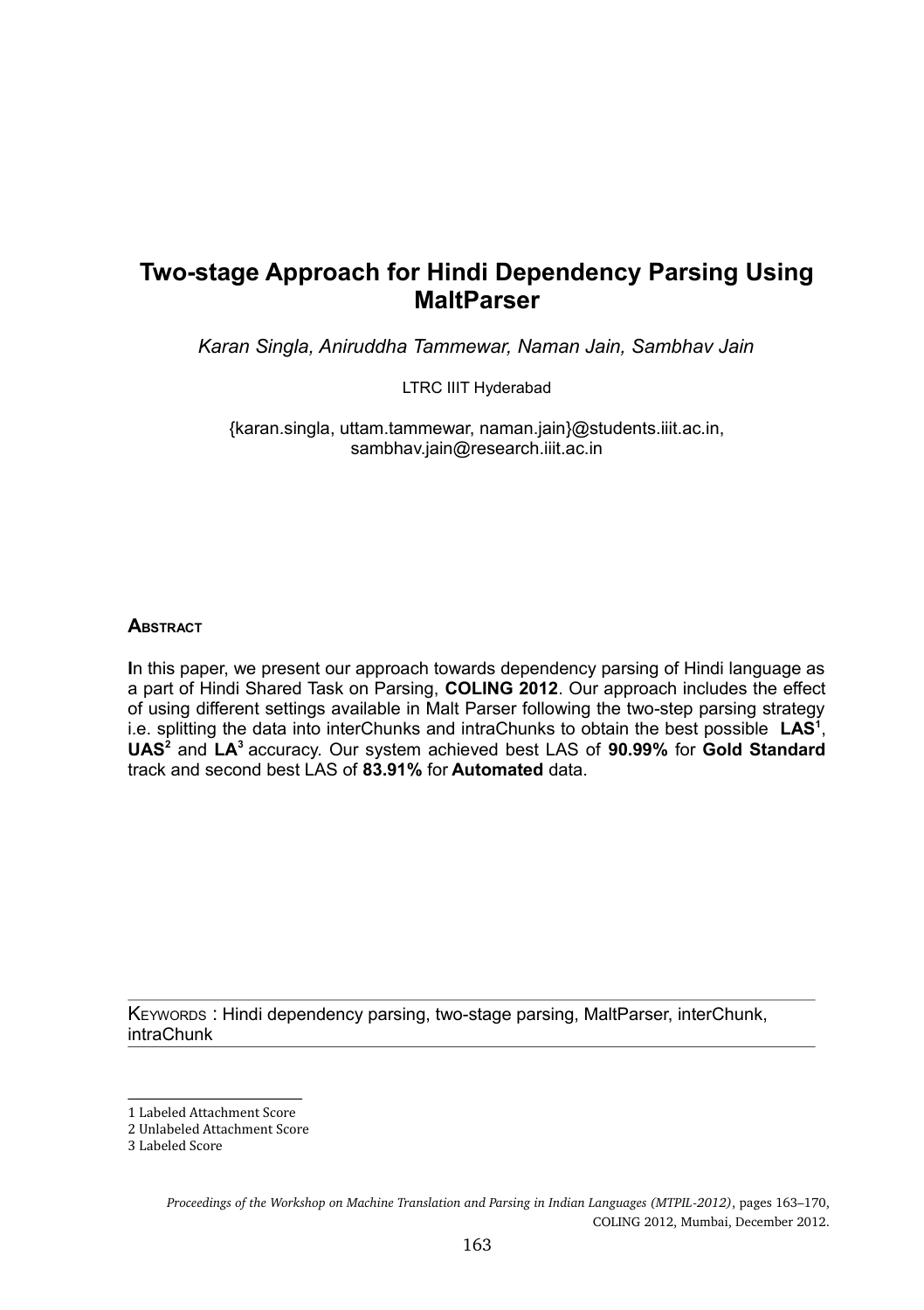# **Two-stage Approach for Hindi Dependency Parsing Using MaltParser**

*Karan Singla, Aniruddha Tammewar, Naman Jain, Sambhav Jain*

LTRC IIIT Hyderabad

{karan.singla, uttam.tammewar, naman.jain}@students.iiit.ac.in, sambhav.jain@research.iiit.ac.in

#### **A**BSTRACT

**I**n this paper, we present our approach towards dependency parsing of Hindi language as a part of Hindi Shared Task on Parsing, **COLING 2012**. Our approach includes the effect of using different settings available in Malt Parser following the two-step parsing strategy i.e. splitting the data into interChunks and intraChunks to obtain the best possible **LAS<sup>1</sup>** , **UAS<sup>2</sup>** and **LA<sup>3</sup>** accuracy. Our system achieved best LAS of **90.99%** for **Gold Standard** track and second best LAS of **83.91%** for **Automated** data.

KEYWORDS : Hindi dependency parsing, two-stage parsing, MaltParser, interChunk, intraChunk

<sup>1</sup> Labeled Attachment Score

<sup>2</sup> Unlabeled Attachment Score

<sup>3</sup> Labeled Score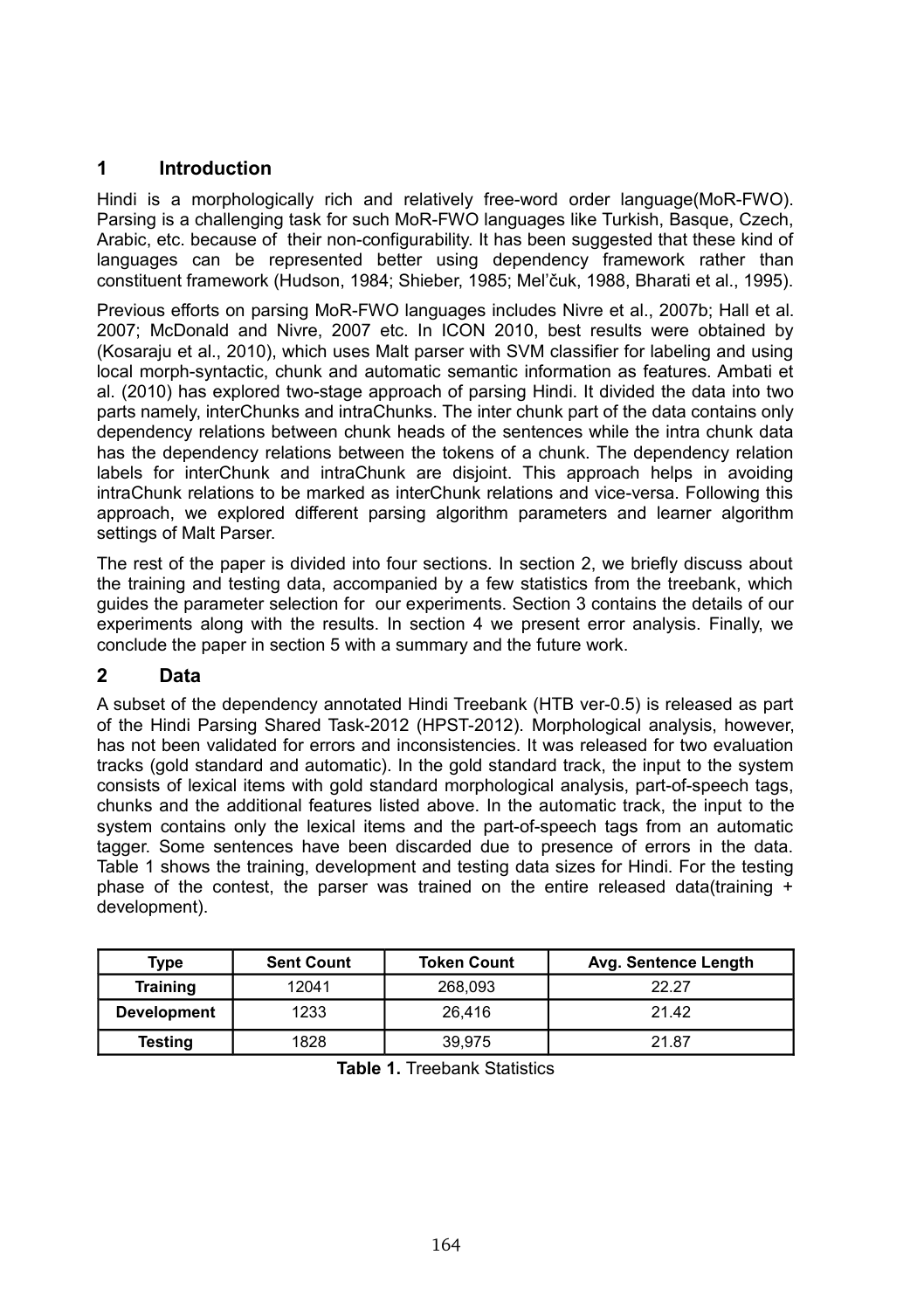#### **1 Introduction**

Hindi is a morphologically rich and relatively free-word order language(MoR-FWO). Parsing is a challenging task for such MoR-FWO languages like Turkish, Basque, Czech, Arabic, etc. because of their non-configurability. It has been suggested that these kind of languages can be represented better using dependency framework rather than constituent framework (Hudson, 1984; Shieber, 1985; Mel'čuk, 1988, Bharati et al., 1995).

Previous efforts on parsing MoR-FWO languages includes Nivre et al., 2007b; Hall et al. 2007; McDonald and Nivre, 2007 etc. In ICON 2010, best results were obtained by (Kosaraju et al., 2010), which uses Malt parser with SVM classifier for labeling and using local morph-syntactic, chunk and automatic semantic information as features. Ambati et al. (2010) has explored two-stage approach of parsing Hindi. It divided the data into two parts namely, interChunks and intraChunks. The inter chunk part of the data contains only dependency relations between chunk heads of the sentences while the intra chunk data has the dependency relations between the tokens of a chunk. The dependency relation labels for interChunk and intraChunk are disjoint. This approach helps in avoiding intraChunk relations to be marked as interChunk relations and vice-versa. Following this approach, we explored different parsing algorithm parameters and learner algorithm settings of Malt Parser.

The rest of the paper is divided into four sections. In section 2, we briefly discuss about the training and testing data, accompanied by a few statistics from the treebank, which guides the parameter selection for our experiments. Section 3 contains the details of our experiments along with the results. In section 4 we present error analysis. Finally, we conclude the paper in section 5 with a summary and the future work.

#### **2 Data**

A subset of the dependency annotated Hindi Treebank (HTB ver-0.5) is released as part of the Hindi Parsing Shared Task-2012 (HPST-2012). Morphological analysis, however, has not been validated for errors and inconsistencies. It was released for two evaluation tracks (gold standard and automatic). In the gold standard track, the input to the system consists of lexical items with gold standard morphological analysis, part-of-speech tags, chunks and the additional features listed above. In the automatic track, the input to the system contains only the lexical items and the part-of-speech tags from an automatic tagger. Some sentences have been discarded due to presence of errors in the data. Table 1 shows the training, development and testing data sizes for Hindi. For the testing phase of the contest, the parser was trained on the entire released data(training  $+$ development).

| Type               | <b>Sent Count</b> | <b>Token Count</b> | Avg. Sentence Length |
|--------------------|-------------------|--------------------|----------------------|
| <b>Training</b>    | 12041             | 268.093            | 22.27                |
| <b>Development</b> | 1233              | 26.416             | 21.42                |
| Testing            | 1828              | 39.975             | 21.87                |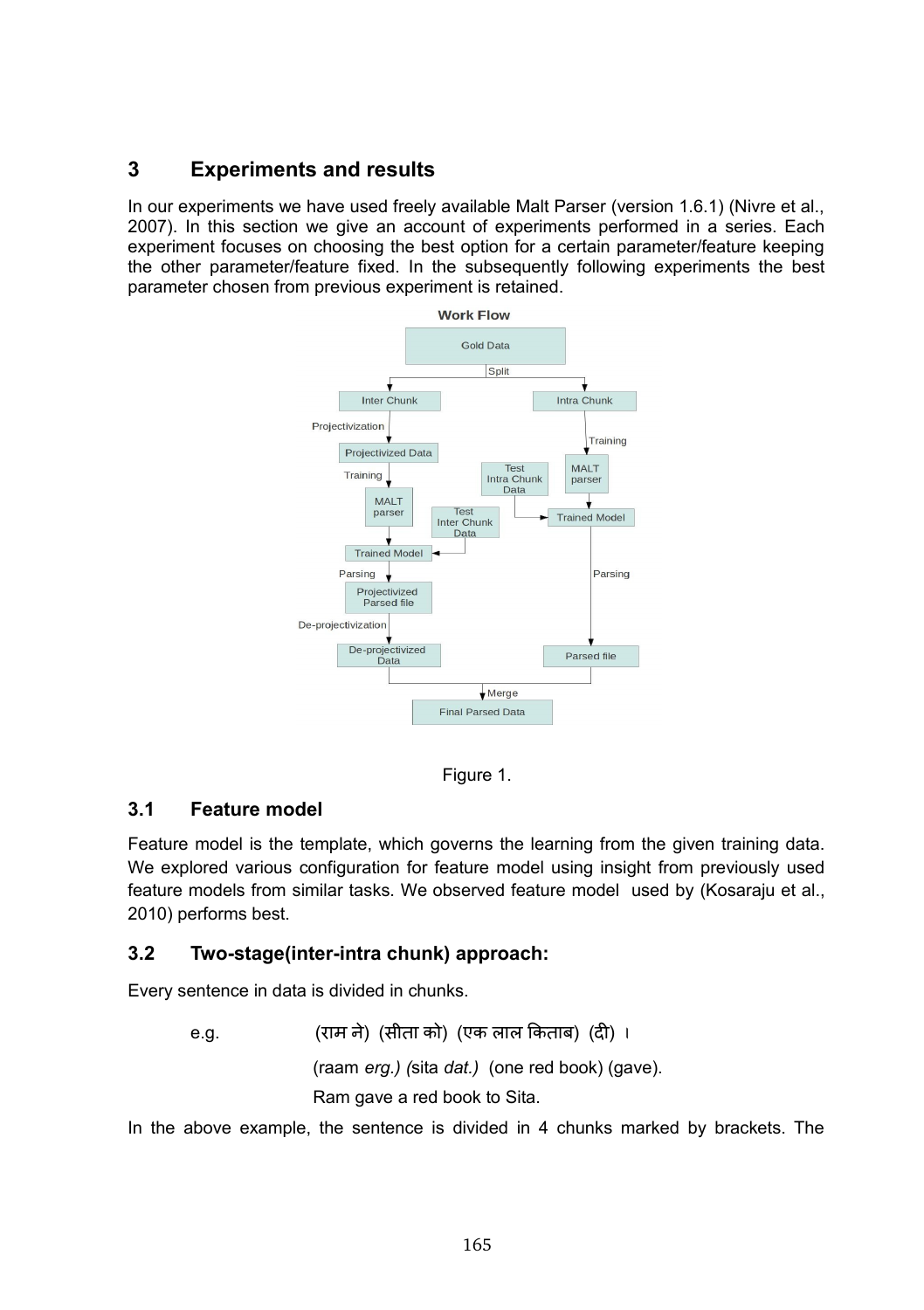### **3 Experiments and results**

In our experiments we have used freely available Malt Parser (version 1.6.1) (Nivre et al., 2007). In this section we give an account of experiments performed in a series. Each experiment focuses on choosing the best option for a certain parameter/feature keeping the other parameter/feature fixed. In the subsequently following experiments the best parameter chosen from previous experiment is retained.



Figure 1.

#### **3.1 Feature model**

Feature model is the template, which governs the learning from the given training data. We explored various configuration for feature model using insight from previously used feature models from similar tasks. We observed feature model used by (Kosaraju et al., 2010) performs best.

#### **3.2 Two-stage(inter-intra chunk) approach:**

Every sentence in data is divided in chunks.

e.g. (राम ने) (सीता को) (एक लाल किताब) (दी) । (raam *erg.) (*sita *dat.)* (one red book) (gave). Ram gave a red book to Sita.

In the above example, the sentence is divided in 4 chunks marked by brackets. The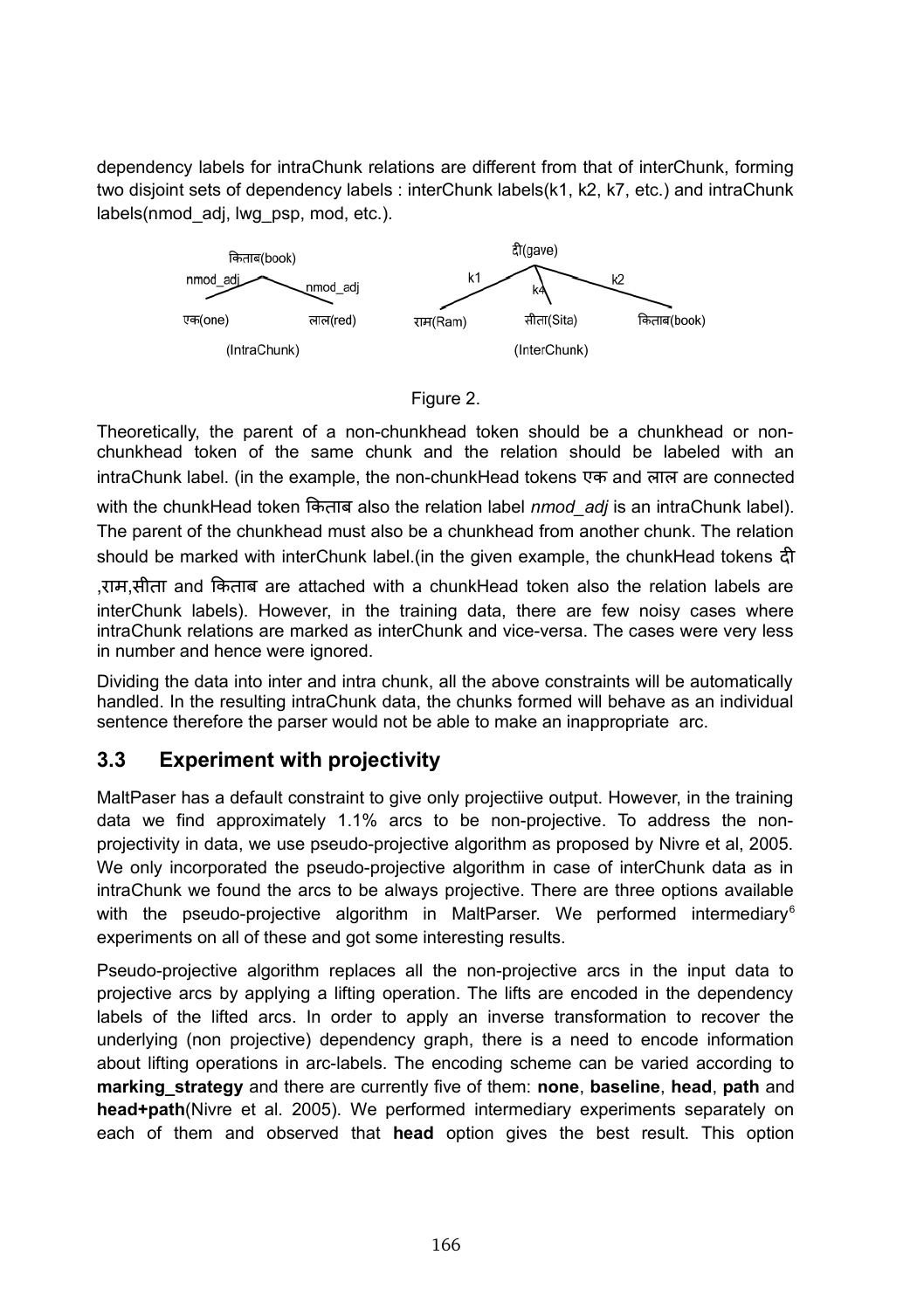dependency labels for intraChunk relations are different from that of interChunk, forming two disjoint sets of dependency labels : interChunk labels(k1, k2, k7, etc.) and intraChunk labels(nmod\_adj, lwg\_psp, mod, etc.).





Theoretically, the parent of a non-chunkhead token should be a chunkhead or nonchunkhead token of the same chunk and the relation should be labeled with an intraChunk label. (in the example, the non-chunkHead tokens एक and लल are connected

with the chunkHead token ककतब also the relation label *nmod\_adj* is an intraChunk label). The parent of the chunkhead must also be a chunkhead from another chunk. The relation should be marked with interChunk label.(in the given example, the chunkHead tokens द

,रम,स त and ककतब are attached with a chunkHead token also the relation labels are interChunk labels). However, in the training data, there are few noisy cases where intraChunk relations are marked as interChunk and vice-versa. The cases were very less in number and hence were ignored.

Dividing the data into inter and intra chunk, all the above constraints will be automatically handled. In the resulting intraChunk data, the chunks formed will behave as an individual sentence therefore the parser would not be able to make an inappropriate arc.

### **3.3 Experiment with projectivity**

MaltPaser has a default constraint to give only projectiive output. However, in the training data we find approximately 1.1% arcs to be non-projective. To address the nonprojectivity in data, we use pseudo-projective algorithm as proposed by Nivre et al, 2005. We only incorporated the pseudo-projective algorithm in case of interChunk data as in intraChunk we found the arcs to be always projective. There are three options available with the pseudo-projective algorithm in MaltParser. We performed intermediary<sup>6</sup> experiments on all of these and got some interesting results.

Pseudo-projective algorithm replaces all the non-projective arcs in the input data to projective arcs by applying a lifting operation. The lifts are encoded in the dependency labels of the lifted arcs. In order to apply an inverse transformation to recover the underlying (non projective) dependency graph, there is a need to encode information about lifting operations in arc-labels. The encoding scheme can be varied according to **marking** strategy and there are currently five of them: **none**, **baseline**, **head**, **path** and **head+path**(Nivre et al. 2005). We performed intermediary experiments separately on each of them and observed that **head** option gives the best result. This option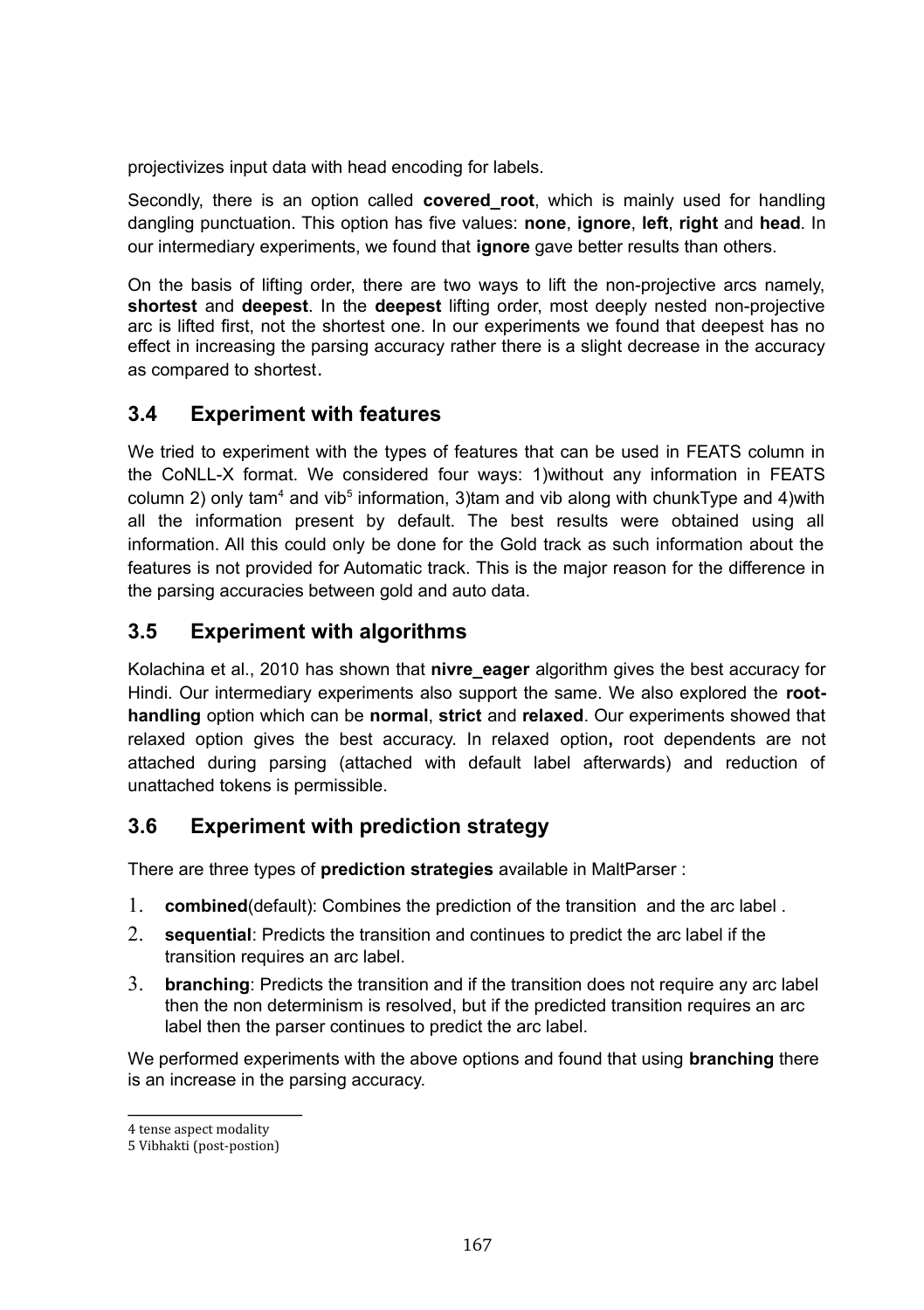projectivizes input data with head encoding for labels.

Secondly, there is an option called **covered root**, which is mainly used for handling dangling punctuation. This option has five values: **none**, **ignore**, **left**, **right** and **head**. In our intermediary experiments, we found that **ignore** gave better results than others.

On the basis of lifting order, there are two ways to lift the non-projective arcs namely, **shortest** and **deepest**. In the **deepest** lifting order, most deeply nested non-projective arc is lifted first, not the shortest one. In our experiments we found that deepest has no effect in increasing the parsing accuracy rather there is a slight decrease in the accuracy as compared to shortest.

### **3.4 Experiment with features**

We tried to experiment with the types of features that can be used in FEATS column in the CoNLL-X format. We considered four ways: 1)without any information in FEATS column 2) only tam<sup>4</sup> and vib<sup>5</sup> information, 3)tam and vib along with chunkType and 4)with all the information present by default. The best results were obtained using all information. All this could only be done for the Gold track as such information about the features is not provided for Automatic track. This is the major reason for the difference in the parsing accuracies between gold and auto data.

#### **3.5 Experiment with algorithms**

Kolachina et al., 2010 has shown that **nivre\_eager** algorithm gives the best accuracy for Hindi. Our intermediary experiments also support the same. We also explored the **roothandling** option which can be **normal**, **strict** and **relaxed**. Our experiments showed that relaxed option gives the best accuracy. In relaxed option**,** root dependents are not attached during parsing (attached with default label afterwards) and reduction of unattached tokens is permissible.

### **3.6 Experiment with prediction strategy**

There are three types of **prediction strategies** available in MaltParser :

- 1. **combined**(default): Combines the prediction of the transition and the arc label .
- 2. **sequential**: Predicts the transition and continues to predict the arc label if the transition requires an arc label.
- 3. **branching**: Predicts the transition and if the transition does not require any arc label then the non determinism is resolved, but if the predicted transition requires an arc label then the parser continues to predict the arc label.

We performed experiments with the above options and found that using **branching** there is an increase in the parsing accuracy.

<sup>4</sup> tense aspect modality

<sup>5</sup> Vibhakti (post-postion)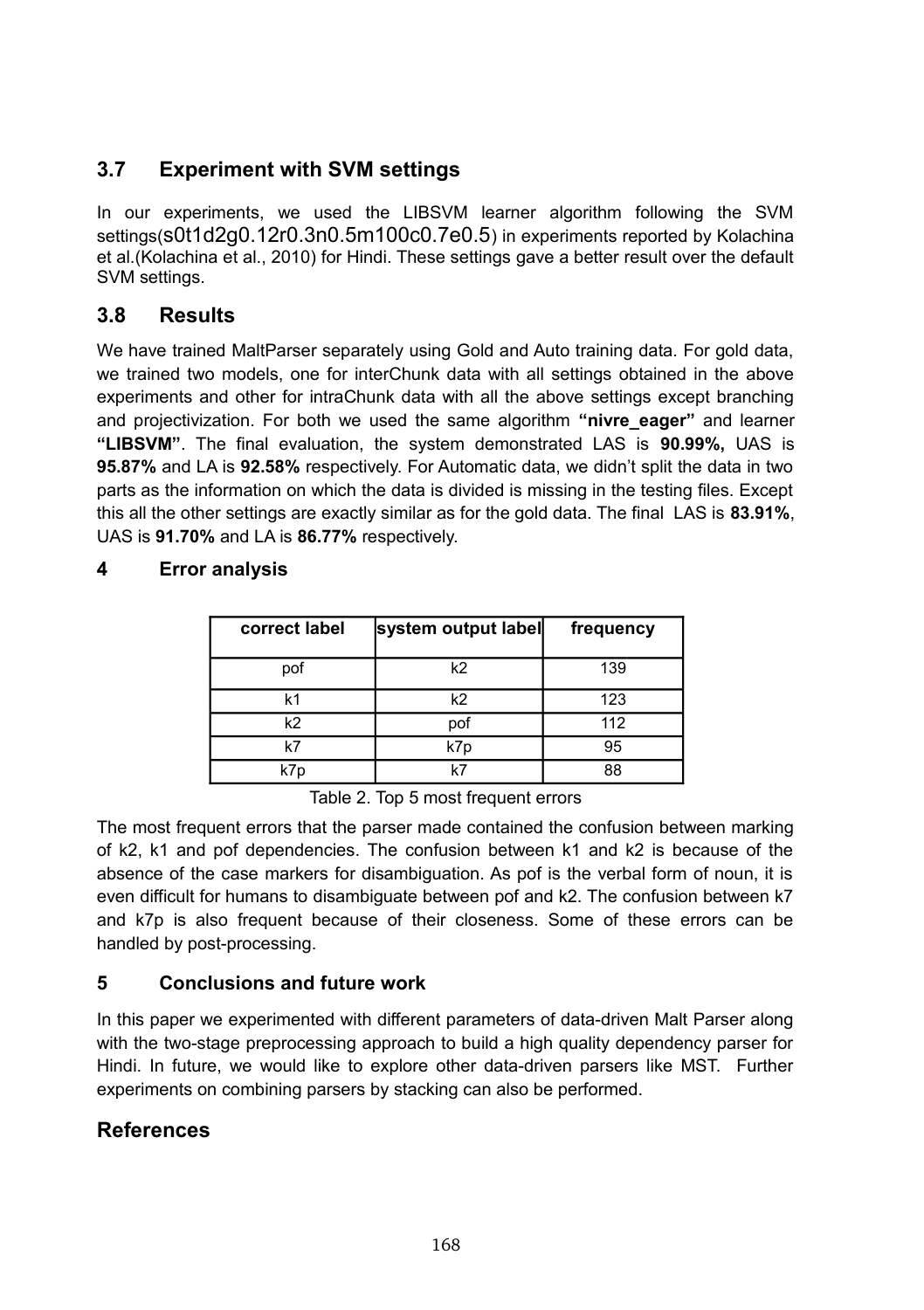## **3.7 Experiment with SVM settings**

In our experiments, we used the LIBSVM learner algorithm following the SVM settings(s0t1d2g0.12r0.3n0.5m100c0.7e0.5) in experiments reported by Kolachina et al.(Kolachina et al., 2010) for Hindi. These settings gave a better result over the default SVM settings.

### **3.8 Results**

We have trained MaltParser separately using Gold and Auto training data. For gold data, we trained two models, one for interChunk data with all settings obtained in the above experiments and other for intraChunk data with all the above settings except branching and projectivization. For both we used the same algorithm **"nivre\_eager"** and learner **"LIBSVM"**. The final evaluation, the system demonstrated LAS is **90.99%,** UAS is **95.87%** and LA is **92.58%** respectively. For Automatic data, we didn't split the data in two parts as the information on which the data is divided is missing in the testing files. Except this all the other settings are exactly similar as for the gold data. The final LAS is **83.91%**, UAS is **91.70%** and LA is **86.77%** respectively.

| correct label  | system output label | frequency |
|----------------|---------------------|-----------|
| pof            | k2                  | 139       |
| k1             | k2                  | 123       |
| k <sub>2</sub> | pof                 | 112       |
| k7             | k7p                 | 95        |
| k7p            | レフ                  | 88        |

#### **4 Error analysis**

Table 2. Top 5 most frequent errors

The most frequent errors that the parser made contained the confusion between marking of k2, k1 and pof dependencies. The confusion between k1 and k2 is because of the absence of the case markers for disambiguation. As pof is the verbal form of noun, it is even difficult for humans to disambiguate between pof and k2. The confusion between k7 and k7p is also frequent because of their closeness. Some of these errors can be handled by post-processing.

#### **5 Conclusions and future work**

In this paper we experimented with different parameters of data-driven Malt Parser along with the two-stage preprocessing approach to build a high quality dependency parser for Hindi. In future, we would like to explore other data-driven parsers like MST. Further experiments on combining parsers by stacking can also be performed.

### **References**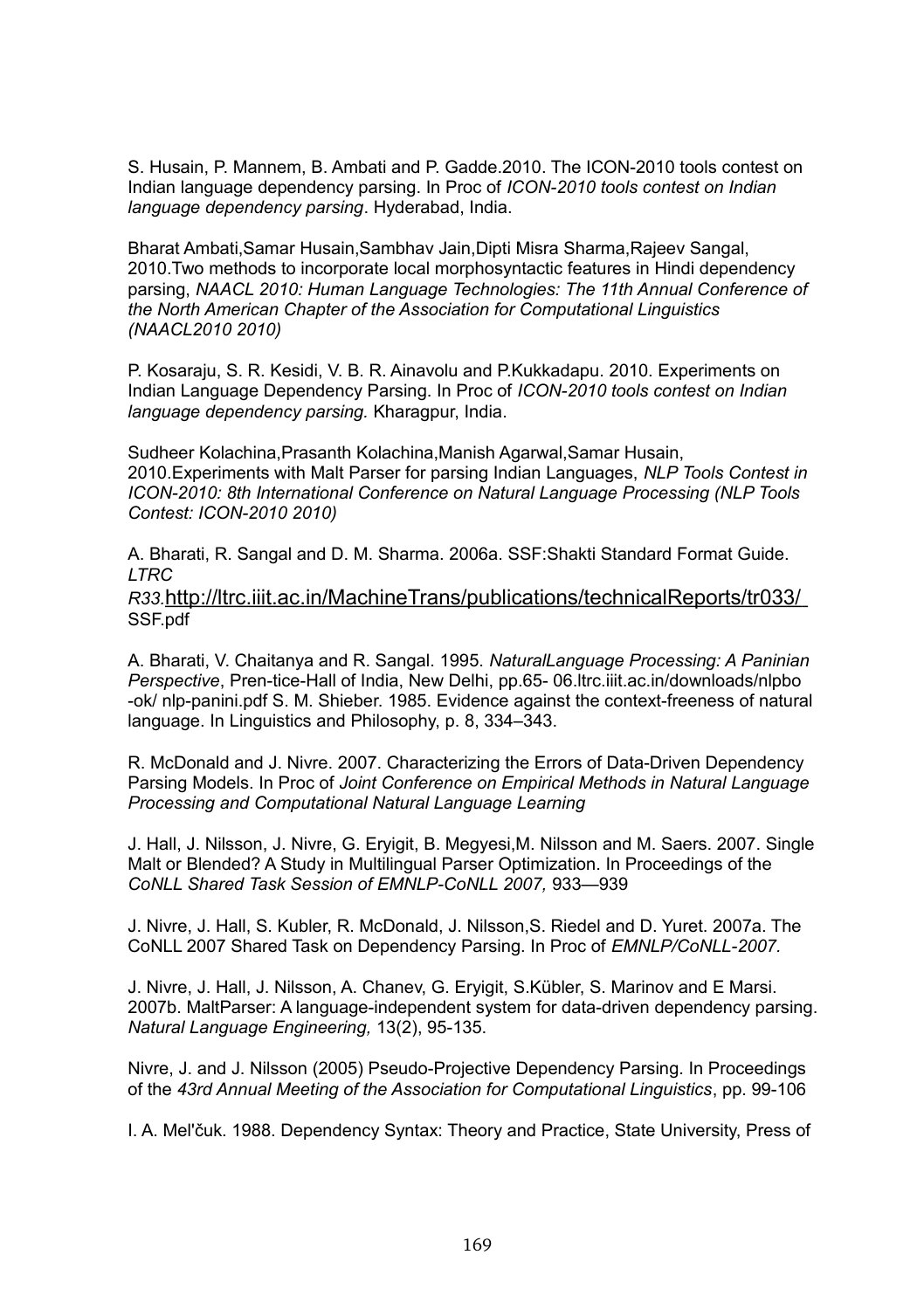S. Husain, P. Mannem, B. Ambati and P. Gadde.2010. The ICON-2010 tools contest on Indian language dependency parsing. In Proc of *ICON-2010 tools contest on Indian language dependency parsing*. Hyderabad, India.

Bharat Ambati, Samar Husain, Sambhay Jain, Dipti, Misra Sharma, Rajeev Sangal 2010.Two methods to incorporate local morphosyntactic features in Hindi dependency parsing, *NAACL 2010: Human Language Technologies: The 11th Annual Conference of the North American Chapter of the Association for Computational Linguistics (NAACL2010 2010)*

P. Kosaraju, S. R. Kesidi, V. B. R. Ainavolu and P.Kukkadapu. 2010. Experiments on Indian Language Dependency Parsing. In Proc of *ICON-2010 tools contest on Indian language dependency parsing.* Kharagpur, India.

Sudheer Kolachina,Prasanth Kolachina,Manish Agarwal,Samar Husain, 2010.Experiments with Malt Parser for parsing Indian Languages, *NLP Tools Contest in ICON-2010: 8th International Conference on Natural Language Processing (NLP Tools Contest: ICON-2010 2010)*

A. Bharati, R. Sangal and D. M. Sharma. 2006a. SSF:Shakti Standard Format Guide. *LTRC*

*R33.*http://ltrc.iiit.ac.in/MachineTrans/publications/technicalReports/tr033/ SSF<sub>.pdf</sub>

A. Bharati, V. Chaitanya and R. Sangal. 1995. *NaturalLanguage Processing: A Paninian Perspective*, Pren-tice-Hall of India, New Delhi, pp.65- 06.ltrc.iiit.ac.in/downloads/nlpbo -ok/ nlp-panini.pdf S. M. Shieber. 1985. Evidence against the context-freeness of natural language. In Linguistics and Philosophy, p. 8, 334–343.

R. McDonald and J. Nivre. 2007. Characterizing the Errors of Data-Driven Dependency Parsing Models. In Proc of *Joint Conference on Empirical Methods in Natural Language Processing and Computational Natural Language Learning*

J. Hall, J. Nilsson, J. Nivre, G. Eryigit, B. Megyesi,M. Nilsson and M. Saers. 2007. Single Malt or Blended? A Study in Multilingual Parser Optimization. In Proceedings of the *CoNLL Shared Task Session of EMNLP-CoNLL 2007,* 933—939

J. Nivre, J. Hall, S. Kubler, R. McDonald, J. Nilsson,S. Riedel and D. Yuret. 2007a. The CoNLL 2007 Shared Task on Dependency Parsing. In Proc of *EMNLP/CoNLL-2007.*

J. Nivre, J. Hall, J. Nilsson, A. Chanev, G. Eryigit, S.Kübler, S. Marinov and E Marsi. 2007b. MaltParser: A language-independent system for data-driven dependency parsing. *Natural Language Engineering,* 13(2), 95-135.

Nivre, J. and J. Nilsson (2005) Pseudo-Projective Dependency Parsing. In Proceedings of the *43rd Annual Meeting of the Association for Computational Linguistics*, pp. 99-106

I. A. Mel'čuk. 1988. Dependency Syntax: Theory and Practice, State University, Press of